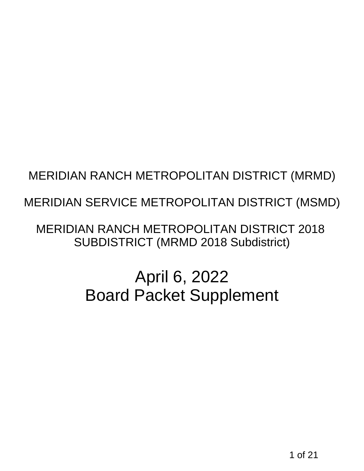# MERIDIAN SERVICE METROPOLITAN DISTRICT (MSMD)

# MERIDIAN RANCH METROPOLITAN DISTRICT (MRMD)<br>1 MERIDIAN SERVICE METROPOLITAN DISTRICT (MSMD)<br>1 MERIDIAN RANCH METROPOLITAN DISTRICT 2018<br>5 UBDISTRICT (MRMD 2018 Subdistrict)<br>1 April 6, 2022<br>1 Board Packet Supplement<br>1 March MERIDIAN RANCH METROPOLITAN DISTRICT 2018 SUBDISTRICT (MRMD 2018 Subdistrict)

# April 6, 2022 Board Packet Supplement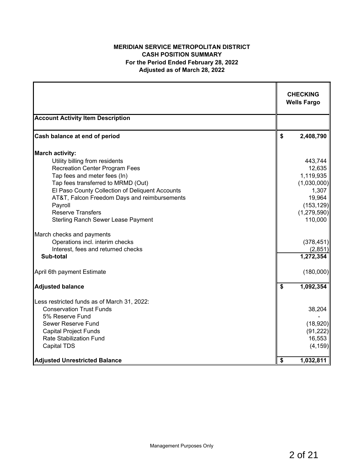# **MERIDIAN SERVICE METROPOLITAN DISTRICT CASH POSITION SUMMARY For the Period Ended February 28, 2022 Adjusted as of March 28, 2022**

|                                                                                                                                                                                                                                                                                                                                      | <b>CHECKING</b><br><b>Wells Fargo</b>                                                                      |
|--------------------------------------------------------------------------------------------------------------------------------------------------------------------------------------------------------------------------------------------------------------------------------------------------------------------------------------|------------------------------------------------------------------------------------------------------------|
| <b>Account Activity Item Description</b>                                                                                                                                                                                                                                                                                             |                                                                                                            |
| Cash balance at end of period                                                                                                                                                                                                                                                                                                        | \$<br>2,408,790                                                                                            |
| <b>March activity:</b>                                                                                                                                                                                                                                                                                                               |                                                                                                            |
| Utility billing from residents<br><b>Recreation Center Program Fees</b><br>Tap fees and meter fees (In)<br>Tap fees transferred to MRMD (Out)<br>El Paso County Collection of Deliquent Accounts<br>AT&T, Falcon Freedom Days and reimbursements<br>Payroll<br><b>Reserve Transfers</b><br><b>Sterling Ranch Sewer Lease Payment</b> | 443,744<br>12,635<br>1,119,935<br>(1,030,000)<br>1,307<br>19,964<br>(153, 129)<br>(1, 279, 590)<br>110,000 |
| March checks and payments<br>Operations incl. interim checks<br>Interest, fees and returned checks<br>Sub-total                                                                                                                                                                                                                      | (378, 451)<br>(2, 851)<br>$\overline{1,}272,354$                                                           |
| April 6th payment Estimate                                                                                                                                                                                                                                                                                                           | (180,000)                                                                                                  |
| <b>Adjusted balance</b>                                                                                                                                                                                                                                                                                                              | \$<br>1,092,354                                                                                            |
| Less restricted funds as of March 31, 2022:<br><b>Conservation Trust Funds</b><br>5% Reserve Fund<br>Sewer Reserve Fund<br><b>Capital Project Funds</b><br><b>Rate Stabilization Fund</b><br><b>Capital TDS</b>                                                                                                                      | 38,204<br>(18,920)<br>(91, 222)<br>16,553<br>(4, 159)                                                      |
| <b>Adjusted Unrestricted Balance</b>                                                                                                                                                                                                                                                                                                 | \$<br>1,032,811                                                                                            |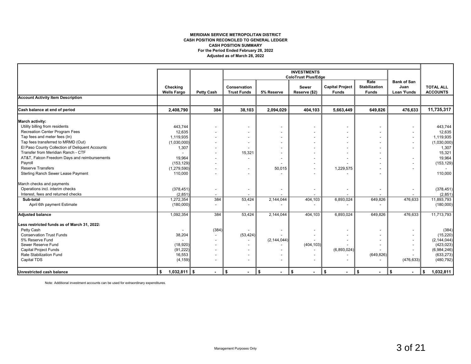#### **MERIDIAN SERVICE METROPOLITAN DISTRICT CASH POSITION RECONCILED TO GENERAL LEDGER For the Period Ended February 28, 2022 Adjusted as of March 28, 2022 CASH POSITION SUMMARY**

|                                                 |                                |                          |                                    |                          | <b>INVESTMENTS</b>            |                                        |                                              |                                           |                                     |
|-------------------------------------------------|--------------------------------|--------------------------|------------------------------------|--------------------------|-------------------------------|----------------------------------------|----------------------------------------------|-------------------------------------------|-------------------------------------|
|                                                 |                                |                          |                                    |                          | <b>ColoTrust Plus/Edge</b>    |                                        |                                              |                                           |                                     |
|                                                 | Checking<br><b>Wells Fargo</b> | <b>Petty Cash</b>        | Conservation<br><b>Trust Funds</b> | 5% Reserve               | <b>Sewer</b><br>Reserve (\$2) | <b>Capital Project</b><br><b>Funds</b> | Rate<br><b>Stabilization</b><br><b>Funds</b> | <b>Bank of San</b><br>Juan<br>Loan 'Funds | <b>TOTAL ALL</b><br><b>ACCOUNTS</b> |
| <b>Account Activity Item Description</b>        |                                |                          |                                    |                          |                               |                                        |                                              |                                           |                                     |
| Cash balance at end of period                   | 2,408,790                      | 384                      | 38,103                             | 2,094,029                | 404,103                       | 5,663,449                              | 649.826                                      | 476,633                                   | 11,735,317                          |
| <b>March activity:</b>                          |                                |                          |                                    |                          |                               |                                        |                                              |                                           |                                     |
| Utility billing from residents                  | 443,744                        |                          |                                    | $\overline{\phantom{a}}$ |                               |                                        | $\overline{\phantom{0}}$                     |                                           | 443,744                             |
| Recreation Center Program Fees                  | 12,635                         |                          |                                    |                          |                               |                                        |                                              |                                           | 12,635                              |
| Tap fees and meter fees (In)                    | 1,119,935                      |                          |                                    |                          |                               |                                        |                                              | $\overline{\phantom{a}}$                  | 1,119,935                           |
| Tap fees transferred to MRMD (Out)              | (1,030,000)                    |                          |                                    |                          |                               |                                        |                                              | $\overline{\phantom{a}}$                  | (1,030,000)                         |
| El Paso County Collection of Deliquent Accounts | 1,307                          |                          |                                    |                          |                               |                                        |                                              |                                           | 1,307                               |
| Transfer from Meridian Ranch - CTF              |                                |                          | 15,321                             |                          |                               |                                        |                                              |                                           | 15,321                              |
| AT&T, Falcon Freedom Days and reimbursements    | 19,964                         |                          |                                    |                          |                               |                                        |                                              | $\overline{\phantom{a}}$                  | 19,964                              |
| Payroll                                         | (153, 129)                     |                          |                                    |                          |                               |                                        |                                              |                                           | (153, 129)                          |
| <b>Reserve Transfers</b>                        | (1, 279, 590)                  |                          |                                    | 50,015                   |                               | 1,229,575                              |                                              |                                           |                                     |
| Sterling Ranch Sewer Lease Payment              | 110,000                        |                          |                                    |                          |                               |                                        |                                              |                                           | 110,000                             |
| March checks and payments                       |                                |                          |                                    |                          |                               |                                        |                                              |                                           |                                     |
| Operations incl. interim checks                 | (378, 451)                     |                          |                                    | $\overline{\phantom{a}}$ |                               | $\overline{\phantom{a}}$               | $\overline{\phantom{a}}$                     |                                           | (378, 451)                          |
| Interest, fees and returned checks              | (2,851)                        |                          |                                    |                          |                               |                                        |                                              |                                           | (2,851)                             |
| Sub-total                                       | 1,272,354                      | 384                      | 53,424                             | 2,144,044                | 404,103                       | 6,893,024                              | 649,826                                      | 476,633                                   | 11,893,793                          |
| April 6th payment Estimate                      | (180,000)                      |                          |                                    |                          |                               |                                        |                                              |                                           | (180,000)                           |
| <b>Adjusted balance</b>                         | 1,092,354                      | 384                      | 53,424                             | 2,144,044                | 404,103                       | 6,893,024                              | 649,826                                      | 476,633                                   | 11,713,793                          |
| Less restricted funds as of March 31, 2022:     |                                |                          |                                    |                          |                               |                                        |                                              |                                           |                                     |
| Petty Cash                                      |                                | (384)                    |                                    |                          |                               |                                        |                                              |                                           | (384)                               |
| <b>Conservation Trust Funds</b>                 | 38,204                         | $\overline{\phantom{a}}$ | (53, 424)                          |                          |                               |                                        |                                              | $\overline{\phantom{a}}$                  | (15, 220)                           |
| 5% Reserve Fund                                 |                                | $\overline{\phantom{a}}$ |                                    | (2, 144, 044)            |                               |                                        |                                              | $\overline{\phantom{a}}$                  | (2, 144, 044)                       |
| Sewer Reserve Fund                              | (18,920)                       |                          |                                    |                          | (404, 103)                    |                                        |                                              | $\overline{\phantom{a}}$                  | (423, 023)                          |
| <b>Capital Project Funds</b>                    | (91, 222)                      |                          |                                    |                          |                               | (6,893,024)                            |                                              |                                           | (6,984,246)                         |
| Rate Stabilization Fund                         | 16,553                         |                          |                                    |                          | $\overline{\phantom{a}}$      |                                        | (649, 826)                                   |                                           | (633, 273)                          |
| Capital TDS                                     | (4, 159)                       |                          |                                    |                          |                               |                                        |                                              | (476, 633)                                | (480, 792)                          |
| <b>Unrestricted cash balance</b>                | $1,032,811$ \$<br>\$           |                          | \$<br>$\blacksquare$               | \$<br>$\blacksquare$     | $\sqrt{5}$<br>$\blacksquare$  | \$<br>$\blacksquare$                   | $\sqrt{2}$<br>$\blacksquare$                 | \$<br>$\blacksquare$                      | 1,032,811<br>\$                     |

Note: Additional investment accounts can be used for extraordinary expenditures.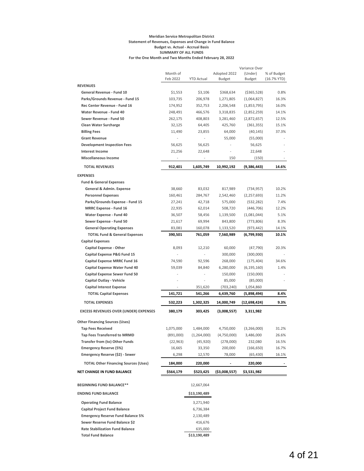#### **Meridian Service Metropolitan District Statement of Revenues, Expenses and Change in Fund Balance Budget vs. Actual - Accrual Basis SUMMARY OF ALL FUNDS For the One Month and Two Months Ended February 28, 2022**

|                                                              | Month of  |                   | Adopted 2022   | Variance Over<br>(Under) | % of Budget   |
|--------------------------------------------------------------|-----------|-------------------|----------------|--------------------------|---------------|
|                                                              | Feb 2022  | <b>YTD Actual</b> | <b>Budget</b>  | Budget                   | $(16.7%$ YTD) |
| <b>REVENUES</b>                                              |           |                   |                |                          |               |
| General Revenue - Fund 10                                    | \$1,553   | \$3,106           | \$368,634      | ( \$365, 528)            | 0.8%          |
| Parks/Grounds Revenue - Fund 15                              | 103,735   | 206,978           | 1,271,805      | (1,064,827)              | 16.3%         |
| Rec Center Revenue - Fund 16                                 | 174,952   | 352,753           | 2,206,548      | (1,853,795)              | 16.0%         |
| Water Revenue - Fund 40                                      | 248,491   | 466,576           | 3,318,835      | (2,852,259)              | 14.1%         |
| Sewer Revenue - Fund 50                                      | 262,175   | 408,803           | 3,281,460      | (2,872,657)              | 12.5%         |
| <b>Clean Water Surcharge</b>                                 | 32,125    | 64,405            | 425,760        | (361, 355)               | 15.1%         |
| <b>Billing Fees</b>                                          | 11,490    | 23,855            | 64,000         | (40, 145)                | 37.3%         |
| <b>Grant Revenue</b>                                         |           |                   | 55,000         | (55,000)                 |               |
| <b>Development Inspection Fees</b><br><b>Interest Income</b> | 56,625    | 56,625            | $\overline{a}$ | 56,625<br>22,648         |               |
|                                                              | 21,256    | 22,648            |                |                          |               |
| <b>Miscellaneous Income</b>                                  |           |                   | 150            | (150)                    |               |
| <b>TOTAL REVENUES</b>                                        | 912,401   | 1,605,749         | 10,992,192     | (9,386,443)              | 14.6%         |
| <b>EXPENSES</b>                                              |           |                   |                |                          |               |
| <b>Fund &amp; General Expenses</b>                           |           |                   |                |                          |               |
| <b>General &amp; Admin. Expense</b>                          | 38,660    | 83,032            | 817,989        | (734, 957)               | 10.2%         |
| <b>Personnel Expenses</b>                                    | 160,461   | 284,767           | 2,542,460      | (2, 257, 693)            | 11.2%         |
| Parks/Grounds Expense - Fund 15                              | 27,241    | 42,718            | 575,000        | (532, 282)               | 7.4%          |
| <b>MRRC Expense - Fund 16</b>                                | 22,935    | 62,014            | 508,720        | (446, 706)               | 12.2%         |
| Water Expense - Fund 40                                      | 36,507    | 58,456            | 1,139,500      | (1,081,044)              | 5.1%          |
| Sewer Expense - Fund 50                                      | 21,617    | 69,994            | 843,800        | (773, 806)               | 8.3%          |
| <b>General Operating Expenses</b>                            | 83,081    | 160,078           | 1,133,520      | (973, 442)               | 14.1%         |
| <b>TOTAL Fund &amp; General Expenses</b>                     | 390,501   | 761,059           | 7,560,989      | (6,799,930)              | 10.1%         |
| <b>Capital Expenses</b>                                      |           |                   |                |                          |               |
| <b>Capital Expense - Other</b>                               | 8,093     | 12,210            | 60,000         | (47, 790)                | 20.3%         |
| Capital Expense P&G Fund 15                                  |           |                   | 300,000        | (300,000)                |               |
| <b>Capital Expense MRRC Fund 16</b>                          | 74,590    | 92,596            | 268,000        | (175, 404)               | 34.6%         |
| Capital Expense Water Fund 40                                | 59,039    | 84,840            | 6,280,000      | (6, 195, 160)            | 1.4%          |
| <b>Capital Expense Sewer Fund 50</b>                         |           |                   | 150,000        | (150,000)                |               |
| Capital Outlay - Vehicle                                     |           |                   | 85,000         | (85,000)                 |               |
| <b>Capital Interest Expense</b>                              |           | 351,620           | (703,240)      | 1,054,860                |               |
| <b>TOTAL Capital Expenses</b>                                | 141,721   | 541,266           | 6,439,760      | (5,898,494)              | 8.4%          |
| <b>TOTAL EXPENSES</b>                                        | 532,223   | 1,302,325         | 14,000,749     | (12,698,424)             | 9.3%          |
| <b>EXCESS REVENUES OVER (UNDER) EXPENSES</b>                 | 380,179   | 303,425           | (3,008,557)    | 3,311,982                |               |
| <b>Other Financing Sources (Uses)</b>                        |           |                   |                |                          |               |
| <b>Tap Fees Received</b>                                     | 1,075,000 | 1,484,000         | 4,750,000      | (3,266,000)              | 31.2%         |
| <b>Tap Fees Transferred to MRMD</b>                          | (891,000) | (1, 264, 000)     | (4,750,000)    | 3,486,000                | 26.6%         |
| Transfer from (to) Other Funds                               | (22, 963) | (45, 920)         | (278,000)      | 232,080                  | 16.5%         |
| <b>Emergency Reserve (5%)</b>                                | 16,665    | 33,350            | 200,000        | (166, 650)               | 16.7%         |
| Emergency Reserve (\$2) - Sewer                              | 6,298     | 12,570            | 78,000         | (65, 430)                | 16.1%         |
| <b>TOTAL Other Financing Sources (Uses)</b>                  | 184,000   | 220,000           |                | 220,000                  |               |
| NET CHANGE IN FUND BALANCE                                   | \$564,179 | \$523,425         | (\$3,008,557)  | \$3,531,982              |               |
|                                                              |           |                   |                |                          |               |
| <b>BEGINNING FUND BALANCE**</b>                              |           | 12,667,064        |                |                          |               |
| <b>ENDING FUND BALANCE</b>                                   |           | \$13,190,489      |                |                          |               |
| <b>Operating Fund Balance</b>                                |           | 3,271,940         |                |                          |               |
| <b>Capital Project Fund Balance</b>                          |           | 6,736,384         |                |                          |               |
| <b>Emergency Reserve Fund Balance 5%</b>                     |           | 2,130,489         |                |                          |               |
| Sewer Reserve Fund Balance \$2                               |           | 416,676           |                |                          |               |
| <b>Rate Stabilization Fund Balance</b>                       |           | 635,000           |                |                          |               |
| <b>Total Fund Balance</b>                                    |           | \$13,190,489      |                |                          |               |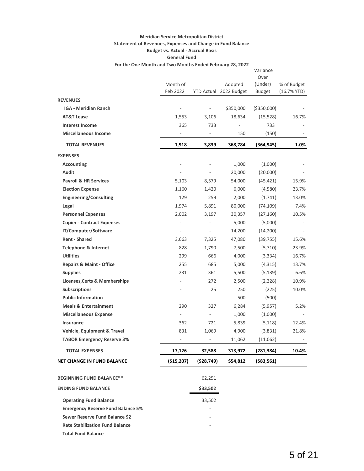## **Meridian Service Metropolitan District Statement of Revenues, Expenses and Change in Fund Balance Budget vs. Actual - Accrual Basis General Fund**

| For the One Month and Two Months Ended February 28, 2022 |  |
|----------------------------------------------------------|--|
|                                                          |  |

|                                                       |                                 |                                 |                                   | Variance                 |                              |
|-------------------------------------------------------|---------------------------------|---------------------------------|-----------------------------------|--------------------------|------------------------------|
|                                                       |                                 |                                 |                                   | Over                     |                              |
|                                                       | Month of<br>Feb 2022            |                                 | Adopted<br>YTD Actual 2022 Budget | (Under)<br><b>Budget</b> | % of Budget<br>$(16.7%$ YTD) |
|                                                       |                                 |                                 |                                   |                          |                              |
| <b>REVENUES</b><br><b>IGA - Meridian Ranch</b>        | $\overline{\phantom{a}}$        |                                 |                                   |                          |                              |
|                                                       |                                 | $\overline{\phantom{a}}$        | \$350,000                         | ( \$350,000)             |                              |
| <b>AT&amp;T Lease</b>                                 | 1,553                           | 3,106                           | 18,634                            | (15, 528)                | 16.7%                        |
| <b>Interest Income</b><br><b>Miscellaneous Income</b> | 365<br>$\overline{\phantom{a}}$ | 733<br>$\overline{\phantom{a}}$ | 150                               | 733                      |                              |
|                                                       |                                 |                                 |                                   | (150)                    |                              |
| <b>TOTAL REVENUES</b>                                 | 1,918                           | 3,839                           | 368,784                           | (364, 945)               | 1.0%                         |
| <b>EXPENSES</b>                                       |                                 |                                 |                                   |                          |                              |
| <b>Accounting</b>                                     |                                 |                                 | 1,000                             | (1,000)                  |                              |
| Audit                                                 |                                 |                                 | 20,000                            | (20,000)                 |                              |
| <b>Payroll &amp; HR Services</b>                      | 5,103                           | 8,579                           | 54,000                            | (45, 421)                | 15.9%                        |
| <b>Election Expense</b>                               | 1,160                           | 1,420                           | 6,000                             | (4,580)                  | 23.7%                        |
| <b>Engineering/Consulting</b>                         | 129                             | 259                             | 2,000                             | (1,741)                  | 13.0%                        |
| Legal                                                 | 1,974                           | 5,891                           | 80,000                            | (74, 109)                | 7.4%                         |
| <b>Personnel Expenses</b>                             | 2,002                           | 3,197                           | 30,357                            | (27, 160)                | 10.5%                        |
| <b>Copier - Contract Expenses</b>                     | $\overline{\phantom{a}}$        | $\frac{1}{2}$                   | 5,000                             | (5,000)                  |                              |
| IT/Computer/Software                                  | $\overline{\phantom{0}}$        | $\overline{\phantom{a}}$        | 14,200                            | (14,200)                 |                              |
| <b>Rent - Shared</b>                                  | 3,663                           | 7,325                           | 47,080                            | (39, 755)                | 15.6%                        |
| <b>Telephone &amp; Internet</b>                       | 828                             | 1,790                           | 7,500                             | (5,710)                  | 23.9%                        |
| <b>Utilities</b>                                      | 299                             | 666                             | 4,000                             | (3, 334)                 | 16.7%                        |
| <b>Repairs &amp; Maint - Office</b>                   | 255                             | 685                             | 5,000                             | (4,315)                  | 13.7%                        |
| <b>Supplies</b>                                       | 231                             | 361                             | 5,500                             | (5, 139)                 | 6.6%                         |
| <b>Licenses, Certs &amp; Memberships</b>              |                                 | 272                             | 2,500                             | (2,228)                  | 10.9%                        |
| <b>Subscriptions</b>                                  | ÷,                              | 25                              | 250                               | (225)                    | 10.0%                        |
| <b>Public Information</b>                             | $\overline{\phantom{0}}$        | $\overline{\phantom{m}}$        | 500                               | (500)                    |                              |
| <b>Meals &amp; Entertainment</b>                      | 290                             | 327                             | 6,284                             | (5,957)                  | 5.2%                         |
| <b>Miscellaneous Expense</b>                          | $\blacksquare$                  | $\frac{1}{2}$                   | 1,000                             | (1,000)                  |                              |
| Insurance                                             | 362                             | 721                             | 5,839                             | (5, 118)                 | 12.4%                        |
| Vehicle, Equipment & Travel                           | 831                             | 1,069                           | 4,900                             | (3,831)                  | 21.8%                        |
| <b>TABOR Emergency Reserve 3%</b>                     |                                 |                                 | 11,062                            | (11,062)                 |                              |
| <b>TOTAL EXPENSES</b>                                 | 17,126                          | 32,588                          | 313,972                           | (281, 384)               | 10.4%                        |
| <b>NET CHANGE IN FUND BALANCE</b>                     | (\$15,207)                      | (528, 749)                      | \$54,812                          | $($ \$83,561)            |                              |
| <b>BEGINNING FUND BALANCE**</b>                       |                                 | 62,251                          |                                   |                          |                              |
| <b>ENDING FUND BALANCE</b>                            |                                 | \$33,502                        |                                   |                          |                              |
| <b>Operating Fund Balance</b>                         |                                 | 33,502                          |                                   |                          |                              |
| <b>Emergency Reserve Fund Balance 5%</b>              |                                 |                                 |                                   |                          |                              |
| Sewer Reserve Fund Balance \$2                        |                                 |                                 |                                   |                          |                              |
| <b>Rate Stabilization Fund Balance</b>                |                                 |                                 |                                   |                          |                              |
|                                                       |                                 |                                 |                                   |                          |                              |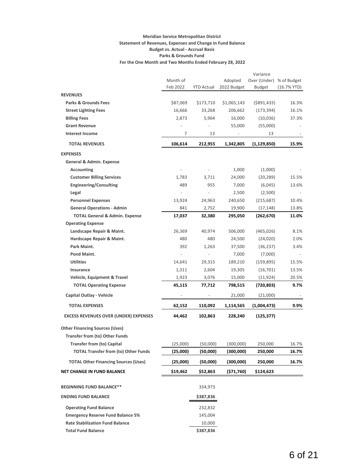#### **Meridian Service Metropolitan District Statement of Revenues, Expenses and Change in Fund Balance Budget vs. Actual - Accrual Basis Parks & Grounds Fund For the One Month and Two Months Ended February 28, 2022**

|                                                                       |                      |                          |                        | Variance               |                              |
|-----------------------------------------------------------------------|----------------------|--------------------------|------------------------|------------------------|------------------------------|
|                                                                       | Month of<br>Feb 2022 | <b>YTD Actual</b>        | Adopted<br>2022 Budget | Over (Under)<br>Budget | % of Budget<br>$(16.7%$ YTD) |
| <b>REVENUES</b>                                                       |                      |                          |                        |                        |                              |
| <b>Parks &amp; Grounds Fees</b>                                       | \$87,069             | \$173,710                | \$1,065,143            | $($ \$891,433)         | 16.3%                        |
| <b>Street Lighting Fees</b>                                           | 16,666               | 33,268                   | 206,662                | (173, 394)             | 16.1%                        |
| <b>Billing Fees</b>                                                   | 2,873                | 5,964                    | 16,000                 | (10,036)               | 37.3%                        |
| <b>Grant Revenue</b>                                                  |                      |                          | 55,000                 | (55,000)               |                              |
| <b>Interest Income</b>                                                | 7                    | 13                       |                        | 13                     |                              |
| <b>TOTAL REVENUES</b>                                                 | 106,614              | 212,955                  | 1,342,805              | (1, 129, 850)          | 15.9%                        |
| <b>EXPENSES</b>                                                       |                      |                          |                        |                        |                              |
| General & Admin. Expense                                              |                      |                          |                        |                        |                              |
| <b>Accounting</b>                                                     |                      |                          | 1,000                  | (1,000)                |                              |
| <b>Customer Billing Services</b>                                      | 1,783                | 3,711                    | 24,000                 | (20, 289)              | 15.5%                        |
| <b>Engineering/Consulting</b>                                         | 489                  | 955                      | 7,000                  | (6,045)                | 13.6%                        |
| Legal                                                                 | $\qquad \qquad -$    | $\overline{\phantom{a}}$ | 2,500                  | (2,500)                |                              |
| <b>Personnel Expenses</b>                                             | 13,924               | 24,963                   | 240,650                | (215, 687)             | 10.4%                        |
| <b>General Operations - Admin</b>                                     | 841                  | 2,752                    | 19,900                 | (17, 148)              | 13.8%                        |
| <b>TOTAL General &amp; Admin. Expense</b><br><b>Operating Expense</b> | 17,037               | 32,380                   | 295,050                | (262, 670)             | 11.0%                        |
| Landscape Repair & Maint.                                             | 26,369               | 40,974                   | 506,000                | (465, 026)             | 8.1%                         |
| Hardscape Repair & Maint.                                             | 480                  | 480                      | 24,500                 | (24, 020)              | 2.0%                         |
| Park Maint.                                                           | 392                  | 1,263                    | 37,500                 | (36, 237)              | 3.4%                         |
| Pond Maint.                                                           |                      |                          | 7,000                  | (7,000)                |                              |
| <b>Utilities</b>                                                      | 14,641               | 29,315                   | 189,210                | (159, 895)             | 15.5%                        |
| Insurance                                                             | 1,311                | 2,604                    | 19,305                 | (16, 701)              | 13.5%                        |
| Vehicle, Equipment & Travel                                           | 1,923                | 3,076                    | 15,000                 | (11, 924)              | 20.5%                        |
| <b>TOTAL Operating Expense</b>                                        | 45,115               | 77,712                   | 798,515                | (720, 803)             | 9.7%                         |
| Capital Outlay - Vehicle                                              |                      |                          | 21,000                 | (21,000)               |                              |
| <b>TOTAL EXPENSES</b>                                                 | 62,152               | 110,092                  | 1,114,565              | (1,004,473)            | 9.9%                         |
| <b>EXCESS REVENUES OVER (UNDER) EXPENSES</b>                          | 44,462               | 102,863                  | 228,240                | (125, 377)             |                              |
| <b>Other Financing Sources (Uses)</b>                                 |                      |                          |                        |                        |                              |
| Transfer from (to) Other Funds                                        |                      |                          |                        |                        |                              |
| <b>Transfer from (to) Capital</b>                                     | (25,000)             | (50,000)                 | (300,000)              | 250,000                | 16.7%                        |
| <b>TOTAL Transfer from (to) Other Funds</b>                           | (25,000)             | (50,000)                 | (300,000)              | 250,000                | 16.7%                        |
| <b>TOTAL Other Financing Sources (Uses)</b>                           | (25,000)             | (50,000)                 | (300,000)              | 250,000                | 16.7%                        |
| <b>NET CHANGE IN FUND BALANCE</b>                                     | \$19,462             | \$52,863                 | (\$71,760)             | \$124,623              |                              |
| <b>BEGINNING FUND BALANCE**</b>                                       |                      | 334,973                  |                        |                        |                              |
| <b>ENDING FUND BALANCE</b>                                            |                      | \$387,836                |                        |                        |                              |
| <b>Operating Fund Balance</b>                                         |                      | 232,832                  |                        |                        |                              |
| <b>Emergency Reserve Fund Balance 5%</b>                              |                      | 145,004                  |                        |                        |                              |
| <b>Rate Stabilization Fund Balance</b>                                |                      | 10,000                   |                        |                        |                              |
| <b>Total Fund Balance</b>                                             |                      | \$387,836                |                        |                        |                              |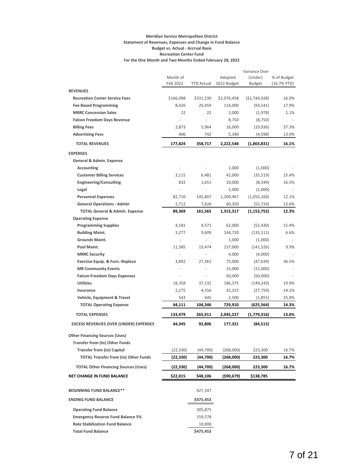#### **Meridian Service Metropolitan District Statement of Revenues, Expenses and Change in Fund Balance Budget vs. Actual - Accrual Basis Recreation Center Fund For the One Month and Two Months Ended February 28, 2022**

|                                              |           |            |               | Variance Over  |               |
|----------------------------------------------|-----------|------------|---------------|----------------|---------------|
|                                              | Month of  |            | Adopted       | (Under)        | % of Budget   |
|                                              | Feb 2022  | YTD Actual | 2022 Budget   | <b>Budget</b>  | $(16.7%$ YTD) |
| <b>REVENUES</b>                              |           |            |               |                |               |
| <b>Recreation Center Service Fees</b>        | \$166,098 | \$331,530  | \$2,076,458   | (51, 744, 928) | 16.0%         |
| <b>Fee Based Programming</b>                 | 8,426     | 20,459     | 114,000       | (93, 541)      | 17.9%         |
| <b>MRRC Concession Sales</b>                 | 22        | 22         | 2,000         | (1,978)        | 1.1%          |
| <b>Falcon Freedom Days Revenue</b>           | ä,        | ÷,         | 8,750         | (8, 750)       |               |
| <b>Billing Fees</b>                          | 2,873     | 5,964      | 16,000        | (10,036)       | 37.3%         |
| <b>Advertising Fees</b>                      | 406       | 742        | 5,340         | (4,598)        | 13.9%         |
| <b>TOTAL REVENUES</b>                        | 177,824   | 358,717    | 2,222,548     | (1,863,831)    | 16.1%         |
| <b>EXPENSES</b>                              |           |            |               |                |               |
| General & Admin. Expense                     |           |            |               |                |               |
| <b>Accounting</b>                            |           |            | 1,000         | (1,000)        |               |
| <b>Customer Billing Services</b>             | 3,115     | 6,481      | 42,000        | (35, 519)      | 15.4%         |
| <b>Engineering/Consulting</b>                | 832       | 1,651      | 10,000        | (8, 349)       | 16.5%         |
| Legal                                        |           |            | 1,000         | (1,000)        |               |
| <b>Personnel Expenses</b>                    | 82,710    | 145,807    | 1,200,967     | (1,055,160)    | 12.1%         |
| <b>General Operations - Admin</b>            | 2,712     | 7,626      | 60,350        | (52, 724)      | 12.6%         |
| <b>TOTAL General &amp; Admin. Expense</b>    | 89,369    | 161,565    | 1,315,317     | (1, 153, 752)  | 12.3%         |
| <b>Operating Expense</b>                     |           |            |               |                |               |
| <b>Programming Supplies</b>                  | 4,181     | 9,571      | 62,000        | (52, 430)      | 15.4%         |
| <b>Building Maint.</b>                       | 3,277     | 9,609      | 144,720       | (135, 111)     | 6.6%          |
| <b>Grounds Maint.</b>                        |           |            | 1,000         | (1,000)        |               |
| Pool Maint.                                  | 11,585    | 15,474     | 157,000       | (141, 526)     | 9.9%          |
| <b>MRRC Security</b>                         |           |            | 4,000         | (4,000)        |               |
| Exercise Equip. & Furn.-Replace              | 3,892     | 27,361     | 75,000        | (47, 639)      | 36.5%         |
| <b>MR Community Events</b>                   |           |            | 15,000        | (15,000)       |               |
| <b>Falcon Freedom Days Expenses</b>          | ÷,        |            | 50,000        | (50,000)       |               |
| <b>Utilities</b>                             | 18,358    | 37,132     | 186,375       | (149, 243)     | 19.9%         |
| Insurance                                    | 2,275     | 4,556      | 32,315        | (27, 759)      | 14.1%         |
| Vehicle, Equipment & Travel                  | 543       | 645        | 2,500         | (1,855)        | 25.8%         |
| <b>TOTAL Operating Expense</b>               | 44,111    | 104,346    | 729,910       | (625, 564)     | 14.3%         |
| <b>TOTAL EXPENSES</b>                        | 133,479   | 265,911    | 2,045,227     | (1,779,316)    | 13.0%         |
| <b>EXCESS REVENUES OVER (UNDER) EXPENSES</b> | 44,345    | 92,806     | 177,321       | (84, 515)      |               |
| <b>Other Financing Sources (Uses)</b>        |           |            |               |                |               |
| <b>Transfer from (to) Other Funds</b>        |           |            |               |                |               |
| <b>Transfer from (to) Capital</b>            | (22, 330) | (44,700)   | (268,000)     | 223,300        | 16.7%         |
| <b>TOTAL Transfer from (to) Other Funds</b>  | (22, 330) | (44,700)   | (268,000)     | 223,300        | 16.7%         |
|                                              |           |            |               |                |               |
| <b>TOTAL Other Financing Sources (Uses)</b>  | (22,330)  | (44,700)   | (268,000)     | 223,300        | 16.7%         |
| <b>NET CHANGE IN FUND BALANCE</b>            | \$22,015  | \$48,106   | $($ \$90,679) | \$138,785      |               |
| <b>BEGINNING FUND BALANCE**</b>              |           | 427,347    |               |                |               |
| <b>ENDING FUND BALANCE</b>                   |           | \$475,453  |               |                |               |
| <b>Operating Fund Balance</b>                |           | 305,875    |               |                |               |
| <b>Emergency Reserve Fund Balance 5%</b>     |           | 159,578    |               |                |               |
| <b>Rate Stabilization Fund Balance</b>       |           | 10,000     |               |                |               |
| <b>Total Fund Balance</b>                    |           | \$475,453  |               |                |               |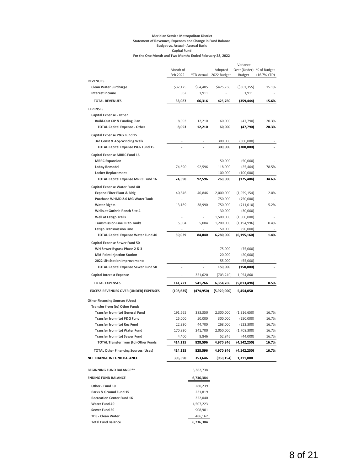#### **Meridian Service Metropolitan District Statement of Revenues, Expenses and Change in Fund Balance Budget vs. Actual - Accrual Basis Capital Fund For the One Month and Two Months Ended February 28, 2022**

|                                                                        |            |                          |                        | Variance               |               |
|------------------------------------------------------------------------|------------|--------------------------|------------------------|------------------------|---------------|
|                                                                        | Month of   |                          | Adopted                | Over (Under)           | % of Budget   |
|                                                                        | Feb 2022   |                          | YTD Actual 2022 Budget | <b>Budget</b>          | $(16.7%$ YTD) |
| <b>REVENUES</b>                                                        |            |                          |                        |                        |               |
| <b>Clean Water Surcharge</b>                                           | \$32,125   | \$64,405                 | \$425,760              | ( \$361, 355)          | 15.1%         |
| <b>Interest Income</b>                                                 | 962        | 1,911                    |                        | 1,911                  |               |
| <b>TOTAL REVENUES</b>                                                  | 33,087     | 66.316                   | 425,760                | (359, 444)             | 15.6%         |
| <b>EXPENSES</b>                                                        |            |                          |                        |                        |               |
| <b>Capital Expense - Other</b>                                         |            |                          |                        |                        |               |
| <b>Build-Out CIP &amp; Funding Plan</b>                                | 8,093      | 12,210                   | 60,000                 | (47, 790)              | 20.3%         |
| <b>TOTAL Capital Expense - Other</b>                                   | 8,093      | 12,210                   | 60,000                 | (47, 790)              | 20.3%         |
|                                                                        |            |                          |                        |                        |               |
| <b>Capital Expense P&amp;G Fund 15</b><br>3rd Const & Acq-Winding Walk |            |                          | 300,000                |                        |               |
| <b>TOTAL Capital Expense P&amp;G Fund 15</b>                           |            |                          | 300,000                | (300,000)<br>(300,000) |               |
|                                                                        |            |                          |                        |                        |               |
| Capital Expense MRRC Fund 16                                           |            |                          |                        |                        |               |
| <b>MRRC Expansion</b>                                                  |            |                          | 50,000                 | (50,000)               |               |
| <b>Lobby Remodel</b>                                                   | 74,590     | 92,596                   | 118,000                | (25, 404)              | 78.5%         |
| <b>Locker Replacement</b>                                              |            |                          | 100,000                | (100,000)              |               |
| <b>TOTAL Capital Expense MRRC Fund 16</b>                              | 74,590     | 92,596                   | 268,000                | (175, 404)             | 34.6%         |
| <b>Capital Expense Water Fund 40</b>                                   |            |                          |                        |                        |               |
| <b>Expand Filter Plant &amp; Bldg</b>                                  | 40,846     | 40,846                   | 2,000,000              | (1,959,154)            | 2.0%          |
| Purchase WHMD 2.0 MG Water Tank                                        |            |                          | 750,000                | (750,000)              |               |
| <b>Water Rights</b>                                                    | 13,189     | 38,990                   | 750,000                | (711,010)              | 5.2%          |
| Wells at Guthrie Ranch Site 4                                          |            |                          | 30,000                 | (30,000)               |               |
| <b>Well at Latigo Trails</b>                                           | ÷,         | $\overline{\phantom{a}}$ | 1,500,000              | (1,500,000)            |               |
| <b>Transmission Line FP to Tanks</b>                                   | 5,004      | 5,004                    | 1,200,000              | (1, 194, 996)          | 0.4%          |
| <b>Latigo Transmission Line</b>                                        |            | $\overline{\phantom{a}}$ | 50,000                 | (50,000)               |               |
| <b>TOTAL Capital Expense Water Fund 40</b>                             | 59,039     | 84,840                   | 6,280,000              | (6, 195, 160)          | 1.4%          |
|                                                                        |            |                          |                        |                        |               |
| <b>Capital Expense Sewer Fund 50</b><br>WH Sewer Bypass Phase 2 & 3    |            |                          | 75,000                 |                        |               |
|                                                                        |            |                          |                        | (75,000)               |               |
| <b>Mid-Point Injection Station</b>                                     |            |                          | 20,000                 | (20,000)               |               |
| 2022 Lift Station Improvements                                         | ä,         | $\overline{a}$           | 55,000                 | (55,000)               |               |
| <b>TOTAL Capital Expense Sewer Fund 50</b>                             |            |                          | 150,000                | (150,000)              |               |
| <b>Capital Interest Expense</b>                                        |            | 351,620                  | (703, 240)             | 1,054,860              |               |
| <b>TOTAL EXPENSES</b>                                                  | 141,721    | 541,266                  | 6,354,760              | (5,813,494)            | 8.5%          |
| <b>EXCESS REVENUES OVER (UNDER) EXPENSES</b>                           | (108, 635) | (474,950)                | (5,929,000)            | 5,454,050              |               |
| <b>Other Financing Sources (Uses)</b>                                  |            |                          |                        |                        |               |
| Transfer from (to) Other Funds                                         |            |                          |                        |                        |               |
| Transfer from (to) General Fund                                        | 191,665    | 383,350                  | 2,300,000              | (1,916,650)            | 16.7%         |
| Transfer from (to) P&G Fund                                            | 25,000     | 50,000                   | 300,000                | (250,000)              | 16.7%         |
| Transfer from (to) Rec Fund                                            | 22,330     | 44,700                   | 268,000                | (223, 300)             | 16.7%         |
| <b>Transfer from (to) Water Fund</b>                                   | 170,830    | 341,700                  | 2,050,000              | (1,708,300)            | 16.7%         |
| <b>Transfer from (to) Sewer Fund</b>                                   | 4,400      | 8,846                    | 52,846                 | (44,000)               | 16.7%         |
| <b>TOTAL Transfer from (to) Other Funds</b>                            | 414,225    | 828,596                  | 4,970,846              | (4, 142, 250)          | 16.7%         |
| <b>TOTAL Other Financing Sources (Uses)</b>                            | 414,225    | 828,596                  | 4,970,846              | (4,142,250)            | 16.7%         |
| NET CHANGE IN FUND BALANCE                                             | 305,590    |                          |                        |                        |               |
|                                                                        |            | 353,646                  | (958,154)              | 1,311,800              |               |
| <b>BEGINNING FUND BALANCE**</b>                                        |            | 6,382,738                |                        |                        |               |
| <b>ENDING FUND BALANCE</b>                                             |            | 6,736,384                |                        |                        |               |
| Other - Fund 10                                                        |            | 280,239                  |                        |                        |               |
| Parks & Ground Fund 15                                                 |            | 231,819                  |                        |                        |               |
| <b>Recreation Center Fund 16</b>                                       |            | 322,040                  |                        |                        |               |
| <b>Water Fund 40</b>                                                   |            | 4,507,223                |                        |                        |               |
| Sewer Fund 50                                                          |            | 908,901                  |                        |                        |               |
| <b>TDS - Clean Water</b>                                               |            | 486,162                  |                        |                        |               |
| <b>Total Fund Balance</b>                                              |            | 6,736,384                |                        |                        |               |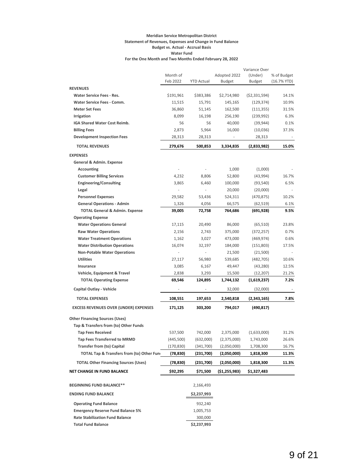#### **Meridian Service Metropolitan District Statement of Revenues, Expenses and Change in Fund Balance Budget vs. Actual - Accrual Basis Water Fund For the One Month and Two Months Ended February 28, 2022**

|                                              |            |                          |               | Variance Over  |             |
|----------------------------------------------|------------|--------------------------|---------------|----------------|-------------|
|                                              | Month of   |                          | Adopted 2022  | (Under)        | % of Budget |
|                                              | Feb 2022   | <b>YTD Actual</b>        | Budget        | Budget         | (16.7% YTD) |
| <b>REVENUES</b>                              |            |                          |               |                |             |
| <b>Water Service Fees - Res.</b>             | \$191,961  | \$383,386                | \$2,714,980   | ( \$2,331,594) | 14.1%       |
| <b>Water Service Fees - Comm.</b>            | 11,515     | 15,791                   | 145,165       | (129, 374)     | 10.9%       |
| <b>Meter Set Fees</b>                        | 36,860     | 51,145                   | 162,500       | (111, 355)     | 31.5%       |
| Irrigation                                   | 8,099      | 16,198                   | 256,190       | (239, 992)     | 6.3%        |
| IGA Shared Water Cost Reimb.                 | 56         | 56                       | 40,000        | (39, 944)      | 0.1%        |
| <b>Billing Fees</b>                          | 2,873      | 5,964                    | 16,000        | (10,036)       | 37.3%       |
| <b>Development Inspection Fees</b>           | 28,313     | 28,313                   |               | 28,313         |             |
| <b>TOTAL REVENUES</b>                        | 279,676    | 500,853                  | 3,334,835     | (2,833,982)    | 15.0%       |
| <b>EXPENSES</b>                              |            |                          |               |                |             |
| General & Admin. Expense                     |            |                          |               |                |             |
| <b>Accounting</b>                            |            |                          | 1,000         | (1,000)        |             |
| <b>Customer Billing Services</b>             | 4,232      | 8,806                    | 52,800        | (43,994)       | 16.7%       |
| <b>Engineering/Consulting</b>                | 3,865      | 6,460                    | 100,000       | (93, 540)      | 6.5%        |
| Legal                                        |            | i.                       | 20,000        | (20,000)       |             |
| <b>Personnel Expenses</b>                    | 29,582     | 53,436                   | 524,311       | (470, 875)     | 10.2%       |
| <b>General Operations - Admin</b>            | 1,326      | 4,056                    | 66,575        | (62, 519)      | 6.1%        |
| <b>TOTAL General &amp; Admin. Expense</b>    | 39,005     | 72,758                   | 764,686       | (691,928)      | 9.5%        |
| <b>Operating Expense</b>                     |            |                          |               |                |             |
| <b>Water Operations General</b>              | 17,115     | 20,490                   | 86,000        | (65, 510)      | 23.8%       |
| <b>Raw Water Operations</b>                  | 2,156      | 2,743                    | 375,000       | (372, 257)     | 0.7%        |
| <b>Water Treatment Operations</b>            | 1,162      | 3,027                    | 473,000       | (469, 974)     | 0.6%        |
| <b>Water Distribution Operations</b>         | 16,074     | 32,197                   | 184,000       | (151,803)      | 17.5%       |
| <b>Non-Potable Water Operations</b>          |            | $\overline{\phantom{m}}$ | 21,500        | (21,500)       |             |
| <b>Utilities</b>                             | 27,117     | 56,980                   | 539,685       | (482, 705)     | 10.6%       |
| Insurance                                    | 3,085      | 6,167                    | 49,447        | (43, 280)      | 12.5%       |
| Vehicle, Equipment & Travel                  | 2,838      | 3,293                    | 15,500        | (12, 207)      | 21.2%       |
| <b>TOTAL Operating Expense</b>               | 69,546     | 124,895                  | 1,744,132     | (1,619,237)    | 7.2%        |
| Capital Outlay - Vehicle                     |            |                          | 32,000        | (32,000)       |             |
| <b>TOTAL EXPENSES</b>                        | 108,551    | 197,653                  | 2,540,818     | (2,343,165)    | 7.8%        |
|                                              |            |                          |               |                |             |
| <b>EXCESS REVENUES OVER (UNDER) EXPENSES</b> | 171,125    | 303,200                  | 794,017       | (490, 817)     |             |
| <b>Other Financing Sources (Uses)</b>        |            |                          |               |                |             |
| Tap & Transfers from (to) Other Funds        |            |                          |               |                |             |
| <b>Tap Fees Received</b>                     | 537,500    | 742,000                  | 2,375,000     | (1,633,000)    | 31.2%       |
| <b>Tap Fees Transferred to MRMD</b>          | (445,500)  | (632,000)                | (2,375,000)   | 1,743,000      | 26.6%       |
| <b>Transfer from (to) Capital</b>            | (170, 830) | (341,700)                | (2,050,000)   | 1,708,300      | 16.7%       |
| TOTAL Tap & Transfers from (to) Other Fun    | (78, 830)  | (231,700)                | (2,050,000)   | 1,818,300      | 11.3%       |
| <b>TOTAL Other Financing Sources (Uses)</b>  | (78, 830)  | (231,700)                | (2,050,000)   | 1,818,300      | 11.3%       |
| <b>NET CHANGE IN FUND BALANCE</b>            | \$92,295   | \$71,500                 | (\$1,255,983) | \$1,327,483    |             |
|                                              |            |                          |               |                |             |
| <b>BEGINNING FUND BALANCE**</b>              |            | 2,166,493                |               |                |             |
| <b>ENDING FUND BALANCE</b>                   |            | \$2,237,993              |               |                |             |
| <b>Operating Fund Balance</b>                |            | 932,240                  |               |                |             |
| <b>Emergency Reserve Fund Balance 5%</b>     |            | 1,005,753                |               |                |             |
| <b>Rate Stabilization Fund Balance</b>       |            | 300,000                  |               |                |             |
| <b>Total Fund Balance</b>                    |            | \$2,237,993              |               |                |             |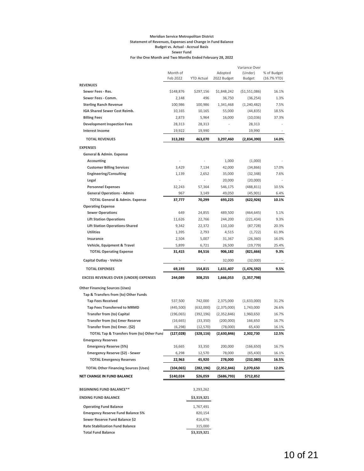#### **Meridian Service Metropolitan District Statement of Revenues, Expenses and Change in Fund Balance Budget vs. Actual - Accrual Basis Sewer Fund For the One Month and Two Months Ended February 28, 2022**

|                                                              |            |                   |             | Variance Over  |             |
|--------------------------------------------------------------|------------|-------------------|-------------|----------------|-------------|
|                                                              | Month of   |                   | Adopted     | (Under)        | % of Budget |
|                                                              | Feb 2022   | <b>YTD Actual</b> | 2022 Budget | <b>Budget</b>  | (16.7% YTD) |
| <b>REVENUES</b>                                              |            |                   |             |                |             |
| Sewer Fees - Res.                                            | \$148,876  | \$297,156         | \$1,848,242 | ( \$1,551,086) | 16.1%       |
| Sewer Fees - Comm.                                           | 2,148      | 496               | 36,750      | (36, 254)      | 1.3%        |
| <b>Sterling Ranch Revenue</b>                                | 100,986    | 100,986           | 1,341,468   | (1, 240, 482)  | 7.5%        |
| IGA Shared Sewer Cost Reimb.                                 | 10,165     | 10,165            | 55,000      | (44, 835)      | 18.5%       |
| <b>Billing Fees</b>                                          | 2,873      | 5,964             | 16,000      | (10,036)       | 37.3%       |
| <b>Development Inspection Fees</b><br><b>Interest Income</b> | 28,313     | 28,313            |             | 28,313         |             |
|                                                              | 19,922     | 19,990            |             | 19,990         |             |
| <b>TOTAL REVENUES</b>                                        | 313,282    | 463,070           | 3,297,460   | (2,834,390)    | 14.0%       |
| <b>EXPENSES</b>                                              |            |                   |             |                |             |
| General & Admin. Expense                                     |            |                   |             |                |             |
| Accounting                                                   |            |                   | 1,000       | (1,000)        |             |
| <b>Customer Billing Services</b>                             | 3,429      | 7,134             | 42,000      | (34, 866)      | 17.0%       |
| <b>Engineering/Consulting</b>                                | 1,139      | 2,652             | 35,000      | (32, 348)      | 7.6%        |
| Legal                                                        |            |                   | 20,000      | (20,000)       |             |
| <b>Personnel Expenses</b>                                    | 32,243     | 57,364            | 546,175     | (488, 811)     | 10.5%       |
| <b>General Operations - Admin</b>                            | 967        | 3,149             | 49,050      | (45, 901)      | 6.4%        |
| <b>TOTAL General &amp; Admin. Expense</b>                    | 37,777     | 70,299            | 693,225     | (622, 926)     | 10.1%       |
| <b>Operating Expense</b>                                     |            |                   |             |                |             |
| <b>Sewer Operations</b>                                      | 649        | 24,855            | 489,500     | (464, 645)     | 5.1%        |
| <b>Lift Station Operations</b>                               | 11,626     | 22,766            | 244,200     | (221, 434)     | 9.3%        |
| <b>Lift Station Operations-Shared</b>                        | 9,342      | 22,372            | 110,100     | (87, 728)      | 20.3%       |
| <b>Utilities</b>                                             | 1,395      | 2,793             | 4,515       | (1, 722)       | 61.9%       |
| Insurance                                                    | 2,504      | 5,007             | 31,367      | (26, 360)      | 16.0%       |
| Vehicle, Equipment & Travel                                  | 5,899      | 6,721             | 26,500      | (19, 779)      | 25.4%       |
| <b>TOTAL Operating Expense</b>                               | 31,415     | 84,516            | 906,182     | (821, 666)     | 9.3%        |
| Capital Outlay - Vehicle                                     |            |                   | 32,000      | (32,000)       |             |
| <b>TOTAL EXPENSES</b>                                        | 69,193     | 154,815           | 1,631,407   | (1,476,592)    | 9.5%        |
|                                                              |            |                   |             |                |             |
| <b>EXCESS REVENUES OVER (UNDER) EXPENSES</b>                 | 244,089    | 308,255           | 1,666,053   | (1,357,798)    |             |
| <b>Other Financing Sources (Uses)</b>                        |            |                   |             |                |             |
| Tap & Transfers from (to) Other Funds                        |            |                   |             |                |             |
| <b>Tap Fees Received</b>                                     | 537,500    | 742,000           | 2,375,000   | (1,633,000)    | 31.2%       |
| <b>Tap Fees Transferred to MRMD</b>                          | (445, 500) | (632,000)         | (2,375,000) | 1,743,000      | 26.6%       |
| <b>Transfer from (to) Capital</b>                            | (196, 065) | (392, 196)        | (2,352,846) | 1,960,650      | 16.7%       |
| <b>Transfer from (to) Emer Reserve</b>                       | (16, 665)  | (33, 350)         | (200,000)   | 166,650        | 16.7%       |
| Transfer from (to) Emer. (\$2)                               | (6, 298)   | (12, 570)         | (78,000)    | 65,430         | 16.1%       |
| TOTAL Tap & Transfers from (to) Other Fund                   | (127,028)  | (328, 116)        | (2,630,846) | 2,302,730      | 12.5%       |
| <b>Emergency Reserves</b>                                    |            |                   |             |                |             |
| <b>Emergency Reserve (5%)</b>                                | 16,665     | 33,350            | 200,000     | (166, 650)     | 16.7%       |
| Emergency Reserve (\$2) - Sewer                              | 6,298      | 12,570            | 78,000      | (65, 430)      | 16.1%       |
| <b>TOTAL Emergency Reserves</b>                              | 22,963     | 45,920            | 278,000     | (232,080)      | 16.5%       |
| <b>TOTAL Other Financing Sources (Uses)</b>                  | (104, 065) | (282,196)         | (2,352,846) | 2,070,650      | 12.0%       |
| NET CHANGE IN FUND BALANCE                                   | \$140,024  | \$26,059          |             |                |             |
|                                                              |            |                   | (\$686,793) | \$712,852      |             |
| <b>BEGINNING FUND BALANCE**</b>                              |            | 3,293,262         |             |                |             |
| <b>ENDING FUND BALANCE</b>                                   |            | \$3,319,321       |             |                |             |
| <b>Operating Fund Balance</b>                                |            | 1,767,491         |             |                |             |
| <b>Emergency Reserve Fund Balance 5%</b>                     |            | 820,154           |             |                |             |
| Sewer Reserve Fund Balance \$2                               |            | 416,676           |             |                |             |
| <b>Rate Stabilization Fund Balance</b>                       |            | 315,000           |             |                |             |
| <b>Total Fund Balance</b>                                    |            | \$3,319,321       |             |                |             |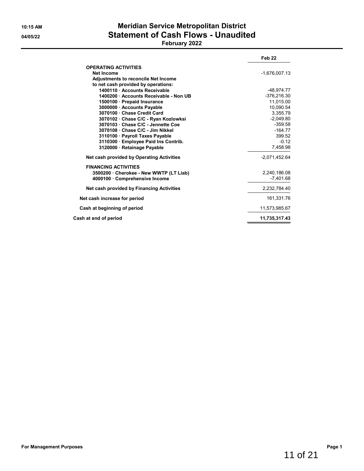# **10:15 AM Meridian Service Metropolitan District 04/05/22 Statement of Cash Flows - Unaudited**

# **February 2022**

|                                            | Feb <sub>22</sub> |
|--------------------------------------------|-------------------|
| <b>OPERATING ACTIVITIES</b>                |                   |
| Net Income                                 | $-1.676.007.13$   |
| <b>Adjustments to reconcile Net Income</b> |                   |
| to net cash provided by operations:        |                   |
| 1400110 Accounts Receivable                | -48.974.77        |
| 1400200 Accounts Receivable - Non UB       | -376.216.30       |
| 1500100 · Prepaid Insurance                | 11,015.00         |
| 3000000 · Accounts Payable                 | 10.090.54         |
| 3070100 Chase Credit Card                  | 3.355.79          |
| 3070102 · Chase C/C - Ryan Kozlowksi       | $-2,049.80$       |
| 3070103 · Chase C/C - Jennette Coe         | $-359.58$         |
| 3070108 · Chase C/C - Jim Nikkel           | $-164.77$         |
| 3110100 · Payroll Taxes Payable            | 399.52            |
| 3110300 Employee Paid Ins Contrib.         | $-0.12$           |
| 3120000 · Retainage Payable                | 7,458.98          |
| Net cash provided by Operating Activities  | $-2,071,452.64$   |
| <b>FINANCING ACTIVITIES</b>                |                   |
| 3500200 Cherokee - New WWTP (LT Liab)      | 2,240,186.08      |
| 4000100 · Comprehensive Income             | $-7.401.68$       |
| Net cash provided by Financing Activities  | 2,232,784.40      |
| Net cash increase for period               | 161,331.76        |
| Cash at beginning of period                | 11,573,985.67     |
| Cash at end of period                      | 11,735,317.43     |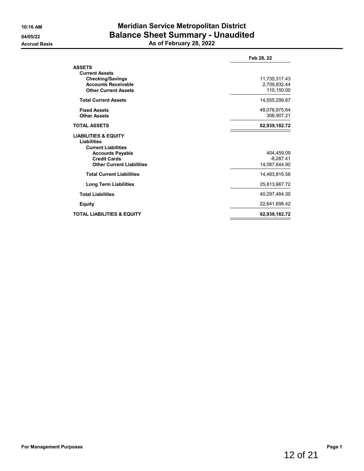# **10:16 AM Meridian Service Metropolitan District 04/05/22 Balance Sheet Summary - Unaudited Accrual Basis As of February 28, 2022**

|                                                                                                                                                                           | Feb 28, 22                                 |
|---------------------------------------------------------------------------------------------------------------------------------------------------------------------------|--------------------------------------------|
| <b>ASSETS</b><br><b>Current Assets</b><br><b>Checking/Savings</b><br><b>Accounts Receivable</b>                                                                           | 11,735,317.43<br>2,709,832.44              |
| <b>Other Current Assets</b>                                                                                                                                               | 110,150.00                                 |
| <b>Total Current Assets</b>                                                                                                                                               | 14,555,299.87                              |
| <b>Fixed Assets</b><br><b>Other Assets</b>                                                                                                                                | 48,076,975.64<br>306,907.21                |
| <b>TOTAL ASSETS</b>                                                                                                                                                       | 62,939,182.72                              |
| <b>LIABILITIES &amp; EQUITY</b><br><b>Liabilities</b><br><b>Current Liabilities</b><br><b>Accounts Payable</b><br><b>Credit Cards</b><br><b>Other Current Liabilities</b> | 404.459.09<br>$-8,287.41$<br>14,087,644.90 |
| <b>Total Current Liabilities</b>                                                                                                                                          | 14,483,816.58                              |
| <b>Long Term Liabilities</b>                                                                                                                                              | 25,813,667.72                              |
| <b>Total Liabilities</b>                                                                                                                                                  | 40,297,484.30                              |
| <b>Equity</b>                                                                                                                                                             | 22,641,698.42                              |
| <b>TOTAL LIABILITIES &amp; EQUITY</b>                                                                                                                                     | 62,939,182.72                              |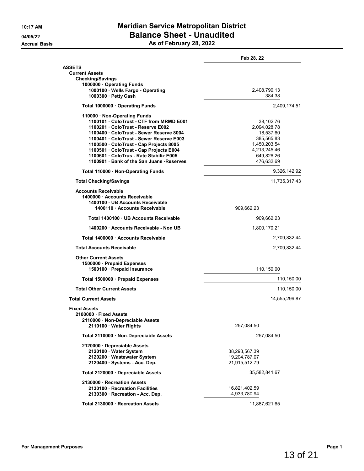# **10:17 AM Meridian Service Metropolitan District 04/05/22 Balance Sheet - Unaudited Accrual Basis As of February 28, 2022**

|                                          | Feb 28, 22     |
|------------------------------------------|----------------|
| <b>ASSETS</b><br><b>Current Assets</b>   |                |
| <b>Checking/Savings</b>                  |                |
| 1000000 · Operating Funds                |                |
| 1000100 · Wells Fargo - Operating        | 2,408,790.13   |
| 1000300 · Petty Cash                     | 384.38         |
| Total 1000000 · Operating Funds          | 2,409,174.51   |
| 110000 · Non-Operating Funds             |                |
| 1100101 ColoTrust - CTF from MRMD E001   | 38,102.76      |
| 1100201 ColoTrust - Reserve E002         | 2,094,028.78   |
| 1100400 · ColoTrust - Sewer Reserve 8004 | 18,537.60      |
| 1100401 ColoTrust - Sewer Reserve E003   | 385,565.83     |
|                                          |                |
| 1100500 ColoTrust - Cap Projects 8005    | 1,450,203.54   |
| 1100501 · ColoTrust - Cap Projects E004  | 4,213,245.46   |
| 1100601 ColoTrus - Rate Stabiliz E005    | 649,826.26     |
| 1100901 Bank of the San Juans - Reserves | 476,632.69     |
| Total 110000 · Non-Operating Funds       | 9,326,142.92   |
| <b>Total Checking/Savings</b>            | 11,735,317.43  |
| <b>Accounts Receivable</b>               |                |
| 1400000 Accounts Receivable              |                |
| 1400100 · UB Accounts Receivable         |                |
| 1400110 · Accounts Receivable            | 909,662.23     |
| Total 1400100 · UB Accounts Receivable   | 909,662.23     |
| 1400200 Accounts Receivable - Non UB     | 1,800,170.21   |
| Total 1400000 · Accounts Receivable      | 2,709,832.44   |
| <b>Total Accounts Receivable</b>         | 2,709,832.44   |
| <b>Other Current Assets</b>              |                |
| 1500000 · Prepaid Expenses               |                |
| 1500100 · Prepaid Insurance              | 110,150.00     |
|                                          |                |
| Total 1500000 · Prepaid Expenses         | 110,150.00     |
| <b>Total Other Current Assets</b>        | 110,150.00     |
| <b>Total Current Assets</b>              | 14,555,299.87  |
| <b>Fixed Assets</b>                      |                |
| 2100000 Fixed Assets                     |                |
| 2110000 · Non-Depreciable Assets         |                |
| 2110100 Water Rights                     | 257,084.50     |
| Total 2110000 · Non-Depreciable Assets   | 257,084.50     |
| 2120000 Depreciable Assets               |                |
| 2120100 · Water System                   | 38,293,567.39  |
|                                          |                |
| 2120200 · Wastewater System              | 19,204,787.07  |
| 2120400 · Systems - Acc. Dep.            | -21,915,512.79 |
| Total 2120000 · Depreciable Assets       | 35,582,841.67  |
| 2130000 · Recreation Assets              |                |
| 2130100 · Recreation Facilities          | 16,821,402.59  |
| 2130300 · Recreation - Acc. Dep.         | -4,933,780.94  |
|                                          |                |
| Total 2130000 · Recreation Assets        | 11,887,621.65  |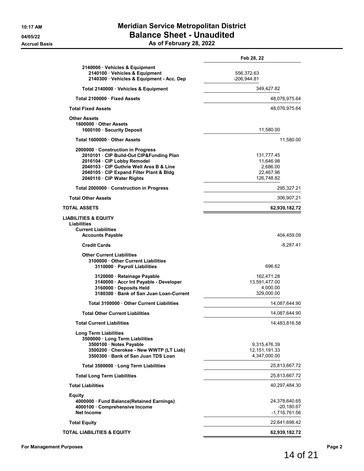|                                                                                                                                                                                                                                   | Feb 28, 22                                                     |
|-----------------------------------------------------------------------------------------------------------------------------------------------------------------------------------------------------------------------------------|----------------------------------------------------------------|
| 2140000 Vehicles & Equipment<br>2140100 · Vehicles & Equipment<br>2140300 · Vehicles & Equipment - Acc. Dep                                                                                                                       | 556,372.63<br>$-206,944.81$                                    |
| Total 2140000 · Vehicles & Equipment                                                                                                                                                                                              | 349,427.82                                                     |
| Total 2100000 Fixed Assets                                                                                                                                                                                                        | 48,076,975.64                                                  |
| <b>Total Fixed Assets</b>                                                                                                                                                                                                         | 48,076,975.64                                                  |
| <b>Other Assets</b><br>1600000 Other Assets<br>1600100 · Security Deposit                                                                                                                                                         | 11,580.00                                                      |
| Total 1600000 Other Assets                                                                                                                                                                                                        | 11,580.00                                                      |
| 2000000 Construction in Progress<br>2010101 · CIP Build-Out CIP&Funding Plan<br>2016104 · CIP Lobby Remodel<br>2040103 · CIP Guthrie Well Area B & Line<br>2040105 · CIP Expand Filter Plant & Bldg<br>2040110 · CIP Water Rights | 131,777.45<br>11,646.98<br>2,686.00<br>22,467.96<br>126.748.82 |
| Total 2000000 · Construction in Progress                                                                                                                                                                                          | 295,327.21                                                     |
| <b>Total Other Assets</b>                                                                                                                                                                                                         | 306,907.21                                                     |
| TOTAL ASSETS                                                                                                                                                                                                                      | 62,939,182.72                                                  |
| <b>LIABILITIES &amp; EQUITY</b><br>Liabilities<br><b>Current Liabilities</b><br><b>Accounts Payable</b>                                                                                                                           | 404,459.09                                                     |
| <b>Credit Cards</b>                                                                                                                                                                                                               | $-8,287.41$                                                    |
| <b>Other Current Liabilities</b><br>3100000 Other Current Liabilities<br>3110000 · Payroll Liabilities                                                                                                                            | 696.62                                                         |
| 3120000 · Retainage Payable<br>3140000 · Accr Int Payable - Developer<br>3160000 · Deposits Held<br>3180300 Bank of San Juan Loan-Current                                                                                         | 162,471.28<br>13,591,477.00<br>4,000.00<br>329,000.00          |
| Total 3100000 Other Current Liabilities                                                                                                                                                                                           | 14,087,644.90                                                  |
| <b>Total Other Current Liabilities</b>                                                                                                                                                                                            | 14,087,644.90                                                  |
| Total Current Liabilities                                                                                                                                                                                                         | 14,483,816.58                                                  |
| <b>Long Term Liabilities</b><br>3500000 · Long Term Liabilities<br>3500100 · Notes Payable<br>3500200 · Cherokee - New WWTP (LT Liab)<br>3500300 · Bank of San Juan TDS Loan                                                      | 9,315,476.39<br>12,151,191.33<br>4,347,000.00                  |
| Total 3500000 · Long Term Liabilities                                                                                                                                                                                             | 25,813,667.72                                                  |
| <b>Total Long Term Liabilities</b>                                                                                                                                                                                                | 25,813,667.72                                                  |
| <b>Total Liabilities</b>                                                                                                                                                                                                          | 40,297,484.30                                                  |
| Equity<br>4000000 · Fund Balance(Retained Earnings)<br>4000100 · Comprehensive Income<br><b>Net Income</b>                                                                                                                        | 24,378,640.65<br>$-20,180.67$<br>-1,716,761.56                 |
| <b>Total Equity</b>                                                                                                                                                                                                               | 22,641,698.42                                                  |
| <b>TOTAL LIABILITIES &amp; EQUITY</b>                                                                                                                                                                                             | 62,939,182.72                                                  |

14 of 21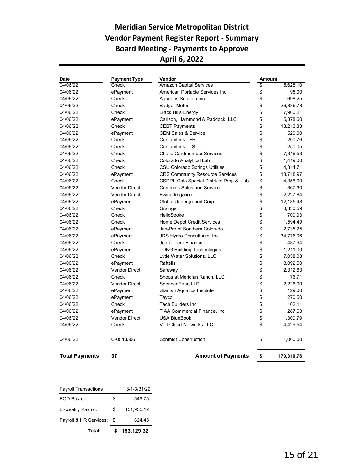# **Meridian Service Metropolitan District Vendor Payment Register Report - Summary Board Meeting - Payments to Approve April 6, 2022**

| <b>Date</b>           | <b>Payment Type</b>  | Vendor                                   | Amount |            |
|-----------------------|----------------------|------------------------------------------|--------|------------|
| 04/06/22              | Check                | <b>Amazon Capital Services</b>           | \$     | 5,628.10   |
| 04/06/22              | ePayment             | American Portable Services Inc.          | \$     | 98.00      |
| 04/06/22              | Check                | Aqueous Solution Inc.                    | \$     | 698.25     |
| 04/06/22              | Check                | <b>Badger Meter</b>                      | \$     | 26,886.78  |
| 04/06/22              | Check                | <b>Black Hills Energy</b>                | \$     | 7,960.21   |
| 04/06/22              | ePayment             | Carlson, Hammond & Paddock, LLC          | \$     | 5,878.60   |
| 04/06/22              | Check                | <b>CEBT Payments</b>                     | \$     | 13,213.83  |
| 04/06/22              | ePayment             | <b>CEM Sales &amp; Service</b>           | \$     | 520.00     |
| 04/06/22              | Check                | CenturyLink - FP                         | \$     | 200.76     |
| 04/06/22              | Check                | CenturyLink - LS                         | \$     | 250.05     |
| 04/06/22              | Check                | <b>Chase Cardmember Services</b>         | \$     | 7,346.53   |
| 04/06/22              | Check                | Colorado Analytical Lab                  | \$     | 1,419.00   |
| 04/06/22              | Check                | <b>CSU Colorado Springs Utilities</b>    | \$     | 4,314.71   |
| 04/06/22              | ePayment             | <b>CRS Community Resource Services</b>   | \$     | 13,718.97  |
| 04/06/22              | Check                | CSDPL-Colo Special Districts Prop & Liab | \$     | 4,356.00   |
| 04/06/22              | <b>Vendor Direct</b> | <b>Cummins Sales and Service</b>         | \$     | 367.90     |
| 04/06/22              | <b>Vendor Direct</b> | Ewing Irrigation                         | \$     | 2,227.84   |
| 04/06/22              | ePayment             | Global Underground Corp                  | \$     | 12,135.48  |
| 04/06/22              | Check                | Grainger                                 | \$     | 3,330.59   |
| 04/06/22              | Check                | HelloSpoke                               | \$     | 709.93     |
| 04/06/22              | Check                | <b>Home Depot Credit Services</b>        | \$     | 1,594.49   |
| 04/06/22              | ePayment             | Jan-Pro of Southern Colorado             | \$     | 2,735.25   |
| 04/06/22              | ePayment             | JDS-Hydro Consultants, Inc.              | \$     | 34,776.06  |
| 04/06/22              | Check                | John Deere Financial                     | \$     | 437.94     |
| 04/06/22              | ePayment             | <b>LONG Building Technologies</b>        | \$     | 1,211.00   |
| 04/06/22              | Check                | Lytle Water Solutions, LLC               | \$     | 7,058.08   |
| 04/06/22              | ePayment             | Raftelis                                 | \$     | 8,092.50   |
| 04/06/22              | <b>Vendor Direct</b> | Safeway                                  | \$     | 2,312.63   |
| 04/06/22              | Check                | Shops at Meridian Ranch, LLC             | \$     | 76.71      |
| 04/06/22              | <b>Vendor Direct</b> | Spencer Fane LLP                         | \$     | 2,226.00   |
| 04/06/22              | ePayment             | <b>Starfish Aquatics Institute</b>       | \$     | 129.00     |
| 04/06/22              | ePayment             | Tayco                                    | \$     | 270.50     |
| 04/06/22              | Check                | <b>Tech Builders Inc</b>                 | \$     | 102.11     |
| 04/06/22              | ePayment             | <b>TIAA Commercial Finance, Inc</b>      | \$     | 287.63     |
| 04/06/22              | <b>Vendor Direct</b> | <b>USA BlueBook</b>                      | \$     | 1,309.79   |
| 04/06/22              | Check                | <b>VertiCloud Networks LLC</b>           | \$     | 4,429.54   |
| 04/06/22              | CK# 13306            | <b>Schmidt Construction</b>              | \$     | 1,000.00   |
| <b>Total Payments</b> | 37                   | <b>Amount of Payments</b>                | \$     | 179,310.76 |

| Total:                      | 153,129.32       |
|-----------------------------|------------------|
| Payroll & HR Services:      | \$<br>624.45     |
| Bi-weekly Payroll:          | \$<br>151.955.12 |
| <b>BOD Payroll:</b>         | \$<br>549.75     |
| <b>Payroll Transactions</b> | $3/1 - 3/31/22$  |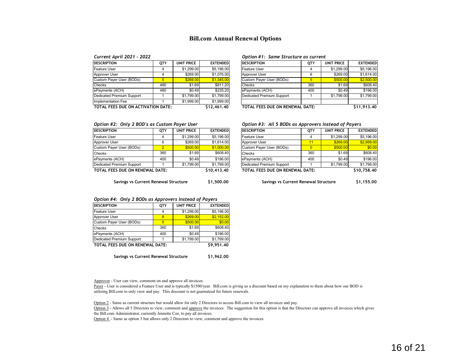#### **Bill.com Annual Renewal Options**

| <b>DESCRIPTION</b>                 | QTY | UNIT PRICE | <b>EXTENDED</b> | <b>DESCRIPTION</b>              | QTY | <b>UNIT PRICE</b> | <b>EXTENDED</b> |
|------------------------------------|-----|------------|-----------------|---------------------------------|-----|-------------------|-----------------|
| Feature User                       |     | \$1,299.00 | \$5,196.00      | Feature User                    |     | \$1,299.00        | \$5,196.00      |
| Approver User                      |     | \$269.00   | \$1.076.00      | Approver User                   | 6   | \$269.00          | \$1,614.00      |
| Custom Payer User (BODs)           |     | \$269.00   | \$1.345.00      | Custom Payer User (BODs)        | 5   | \$500.00          | \$2,500.00      |
| <b>Checks</b>                      | 480 | \$1.69     | \$811.20        | <b>Checks</b>                   | 360 | \$1.69            | \$608.40        |
| ePayments (ACH)                    | 480 | \$0.49     | \$235.20        | ePayments (ACH)                 | 400 | \$0.49            | \$196.00        |
| Dedicated Premium Support          |     | \$1,799.00 | \$1.799.00      | Dedicated Premium Support       |     | \$1,799.00        | \$1,799.00      |
| Implementation Fee                 |     | \$1,999.00 | \$1,999.00      |                                 |     |                   |                 |
| TOTAL FEES DUE ON ACTIVATION DATE: |     |            | \$12,461.40     | TOTAL FEES DUE ON RENEWAL DATE: |     |                   | \$11,913,40     |

#### *Current April 2021 - 2022 Option #1: Same Structure as current*

| OTY   | UNIT PRICE | <b>EXTENDED</b> | <b>DESCRIPTION</b>              | QTY | UNIT PRICE | <b>EXTENDED</b> |
|-------|------------|-----------------|---------------------------------|-----|------------|-----------------|
| 4     | \$1,299.00 | \$5,196,00      | Feature User                    |     | \$1,299.00 | \$5,196,00      |
| 4     | \$269.00   | \$1.076.00      | Approver User                   | 6   | \$269.00   | \$1,614.00      |
| 5     | \$269.00   | \$1,345.00      | Custom Payer User (BODs)        | 5   | \$500.00   | \$2,500.00      |
| 480   | \$1.69     | \$811.20        | Checks                          | 360 | \$1.69     | \$608.40        |
| 480   | \$0.49     | \$235.20        | ePayments (ACH)                 | 400 | \$0.49     | \$196.00        |
|       | \$1,799.00 | \$1,799.00      | Dedicated Premium Support       |     | \$1,799.00 | \$1,799.00      |
|       | \$1,999.00 | \$1,999.00      |                                 |     |            |                 |
| DATE: |            | \$12.461.40     | TOTAL FEES DUE ON RENEWAL DATE: |     |            | \$11,913,40     |

| <b>DESCRIPTION</b>              | <b>OTY</b>     | <b>UNIT PRICE</b> | <b>EXTENDED</b> |
|---------------------------------|----------------|-------------------|-----------------|
| Feature User                    | 4              | \$1,299.00        | \$5,196.00      |
| Approver User                   | 6              | \$269.00          | \$1.614.00      |
| Custom Payer User (BODs)        | $\overline{2}$ | \$500.00          | \$1,000.00      |
| Checks                          | 360            | \$1.69            | \$608.40        |
| ePayments (ACH)                 | 400            | \$0.49            | \$196.00        |
| Dedicated Premium Support       |                | \$1,799.00        | \$1,799.00      |
| TOTAL FEES DUE ON RENEWAL DATE: | \$10,413.40    |                   |                 |

*Option #2: Only 2 BOD's as Custom Payer User Option #3: All 5 BODs as Approvers instead of Payers*

| DESCRIPTION                     | <b>OTY</b> | UNIT PRICE | <b>EXTENDED</b> | <b>DESCRIPTION</b>              | <b>OTY</b> | UNIT PRICE | <b>EXTENDED</b> |
|---------------------------------|------------|------------|-----------------|---------------------------------|------------|------------|-----------------|
| Feature User                    |            | \$1,299.00 | \$5,196,00      | Feature User                    |            | \$1,299.00 | \$5,196,00      |
| Approver User                   |            | \$269.00   | \$1,614.00      | Approver User                   |            | \$269.00   | \$2,959.00      |
| Custom Payer User (BODs)        |            | \$500.00   | \$1,000.00      | Custom Payer User (BODs)        |            | \$500.00   | \$0.00          |
| Checks                          | 360        | \$1.69     | \$608.40        | Checks                          | 360        | \$1.69     | \$608.40        |
| ePayments (ACH)                 | 400        | \$0.49     | \$196.00        | ePayments (ACH)                 | 400        | \$0.49     | \$196.00        |
| Dedicated Premium Support       |            | \$1,799.00 | \$1,799.00      | Dedicated Premium Support       |            | \$1,799.00 | \$1,799.00      |
| TOTAL FEES DUE ON RENEWAL DATE: |            |            | \$10.413.40     | TOTAL FEES DUE ON RENEWAL DATE: |            |            | \$10.758.40     |

**Savings vs Current Renewal Structure \$1,500.00 Savings vs Current Renewal Structure \$1,155.00**

#### *Option #4: Only 2 BODs as Approvers instead of Payers*

| QTY                             | <b>UNIT PRICE</b> | <b>EXTENDED</b> |
|---------------------------------|-------------------|-----------------|
| 4                               | \$1,299.00        | \$5,196.00      |
| <sub>8</sub>                    | \$269.00          | \$2,152.00      |
| o                               | \$500.00          | \$0.00          |
| 360                             | \$1.69            | \$608.40        |
| 400                             | \$0.49            | \$196.00        |
|                                 | \$1,799.00        | \$1,799.00      |
| TOTAL FEES DUE ON RENEWAL DATE: |                   | \$9,951.40      |
|                                 |                   |                 |

**Savings vs Current Renewal Structure \$1,962.00**

Approver - User can view, comment on and approve all invoices.

Payer - User is considered a Feature User and is typically \$1500/year. Bill.com is giving us a discount based on my explanation to them about how our BOD is utilizing Bill.com to only view and pay. This discount is not guarnateed for future renewals.

Option 2 - Same as current structure but would allow for only 2 Directors to access Bill.com to view all invoices and pay.

Option 3 - Allows all 5 Directors to view, comment and approve the invoices. The suggestion for this option is that the Directors can approve all invoices which gives the Bill.com Administrator, currently Jennette Coe, to pay all invoices.

Option 4 - Same as option 3 but allows only 2 Directors to view, comment and approve the invoices.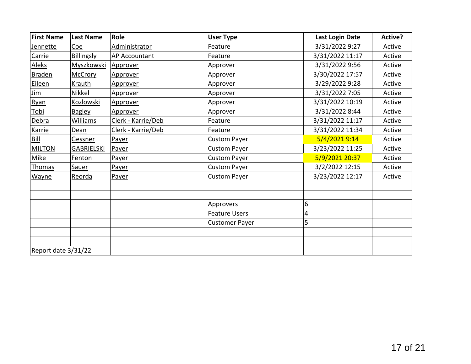| <b>First Name</b>   | <b>Last Name</b>  | Role               | <b>User Type</b>      | <b>Last Login Date</b> | Active? |
|---------------------|-------------------|--------------------|-----------------------|------------------------|---------|
| Jennette            | <u>Coe</u>        | Administrator      | Feature               | 3/31/2022 9:27         | Active  |
| Carrie              | <b>Billingsly</b> | AP Accountant      | Feature               | 3/31/2022 11:17        | Active  |
| <b>Aleks</b>        | <b>Myszkowski</b> | Approver           | Approver              | 3/31/2022 9:56         | Active  |
| <b>Braden</b>       | <b>McCrory</b>    | Approver           | Approver              | 3/30/2022 17:57        | Active  |
| Eileen              | Krauth            | Approver           | Approver              | 3/29/2022 9:28         | Active  |
| <u>Jim</u>          | Nikkel            | Approver           | Approver              | 3/31/2022 7:05         | Active  |
| Ryan                | Kozlowski         | Approver           | Approver              | 3/31/2022 10:19        | Active  |
| Tobi                | <b>Bagley</b>     | Approver           | Approver              | 3/31/2022 8:44         | Active  |
| <b>Debra</b>        | Williams          | Clerk - Karrie/Deb | Feature               | 3/31/2022 11:17        | Active  |
| Karrie              | Dean              | Clerk - Karrie/Deb | Feature               | 3/31/2022 11:34        | Active  |
| <b>Bill</b>         | Gessner           | Payer              | <b>Custom Payer</b>   | 5/4/2021 9:14          | Active  |
| <b>MILTON</b>       | <b>GABRIELSKI</b> | Payer              | <b>Custom Payer</b>   | 3/23/2022 11:25        | Active  |
| <b>Mike</b>         | <b>Fenton</b>     | Payer              | <b>Custom Payer</b>   | 5/9/2021 20:37         | Active  |
| Thomas              | Sauer             | Payer              | <b>Custom Payer</b>   | 3/2/2022 12:15         | Active  |
| Wayne               | Reorda            | Payer              | <b>Custom Payer</b>   | 3/23/2022 12:17        | Active  |
|                     |                   |                    |                       |                        |         |
|                     |                   |                    |                       |                        |         |
|                     |                   |                    | Approvers             | 6                      |         |
|                     |                   |                    | <b>Feature Users</b>  | 4                      |         |
|                     |                   |                    | <b>Customer Payer</b> | 5                      |         |
|                     |                   |                    |                       |                        |         |
|                     |                   |                    |                       |                        |         |
| Report date 3/31/22 |                   |                    |                       |                        |         |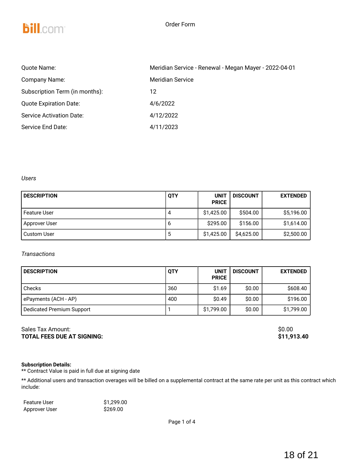

# **bill.com**

| Quote Name:                     | Meridian Service - Renewal - Megan Mayer - 2022-04-01 |
|---------------------------------|-------------------------------------------------------|
| Company Name:                   | Meridian Service                                      |
| Subscription Term (in months):  | 12                                                    |
| <b>Quote Expiration Date:</b>   | 4/6/2022                                              |
| <b>Service Activation Date:</b> | 4/12/2022                                             |
| Service End Date:               | 4/11/2023                                             |

*Users*

| <b>DESCRIPTION</b>  | <b>QTY</b> | <b>UNIT</b><br><b>PRICE</b> | <b>DISCOUNT</b> | <b>EXTENDED</b> |
|---------------------|------------|-----------------------------|-----------------|-----------------|
| <b>Feature User</b> | 4          | \$1,425.00                  | \$504.00        | \$5,196.00      |
| Approver User       | ь          | \$295.00                    | \$156.00        | \$1,614.00      |
| <b>Custom User</b>  | ა          | \$1,425.00                  | \$4,625.00      | \$2,500.00      |

## *Transactions*

| <b>DESCRIPTION</b>               | <b>QTY</b> | <b>UNIT</b><br><b>PRICE</b> | <b>DISCOUNT</b> | <b>EXTENDED</b> |
|----------------------------------|------------|-----------------------------|-----------------|-----------------|
| Checks                           | 360        | \$1.69                      | \$0.00          | \$608.40        |
| ePayments (ACH - AP)             | 400        | \$0.49                      | \$0.00          | \$196.00        |
| <b>Dedicated Premium Support</b> |            | \$1,799.00                  | \$0.00          | \$1,799.00      |

## Sales Tax Amount:  $\text{So.00}$ **TOTAL FEES DUE AT SIGNING: \$11,913.40**

#### **Subscription Details:**

\*\* Contract Value is paid in full due at signing date

\*\* Additional users and transaction overages will be billed on a supplemental contract at the same rate per unit as this contract which include:

| <b>Feature User</b> | \$1.299.00 |  |  |
|---------------------|------------|--|--|
| Approver User       | \$269.00   |  |  |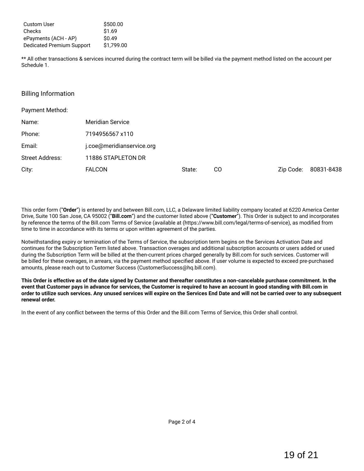| <b>Custom User</b>               | \$500.00   |
|----------------------------------|------------|
| Checks                           | \$1.69     |
| ePayments (ACH - AP)             | \$0.49     |
| <b>Dedicated Premium Support</b> | \$1,799.00 |

\*\* All other transactions & services incurred during the contract term will be billed via the payment method listed on the account per Schedule 1.

### Billing Information

| Payment Method: |                           |        |    |           |            |
|-----------------|---------------------------|--------|----|-----------|------------|
| Name:           | <b>Meridian Service</b>   |        |    |           |            |
| Phone:          | 7194956567 x110           |        |    |           |            |
| Email:          | j.coe@meridianservice.org |        |    |           |            |
| Street Address: | 11886 STAPLETON DR        |        |    |           |            |
| City:           | <b>FALCON</b>             | State: | CO | Zip Code: | 80831-8438 |

This order form ("**Order**") is entered by and between Bill.com, LLC, a Delaware limited liability company located at 6220 America Center Drive, Suite 100 San Jose, CA 95002 ("**Bill.com**") and the customer listed above ("**Customer**"). This Order is subject to and incorporates by reference the terms of the Bill.com Terms of Service (available at (https://www.bill.com/legal/terms-of-service), as modified from time to time in accordance with its terms or upon written agreement of the parties.

Notwithstanding expiry or termination of the Terms of Service, the subscription term begins on the Services Activation Date and continues for the Subscription Term listed above. Transaction overages and additional subscription accounts or users added or used during the Subscription Term will be billed at the then-current prices charged generally by Bill.com for such services. Customer will be billed for these overages, in arrears, via the payment method specified above. If user volume is expected to exceed pre-purchased amounts, please reach out to Customer Success (CustomerSuccess@hq.bill.com).

This Order is effective as of the date signed by Customer and thereafter constitutes a non-cancelable purchase commitment. In the event that Customer pays in advance for services, the Customer is required to have an account in good standing with Bill.com in order to utilize such services. Any unused services will expire on the Services End Date and will not be carried over to any subsequent **renewal order.**

In the event of any conflict between the terms of this Order and the Bill.com Terms of Service, this Order shall control.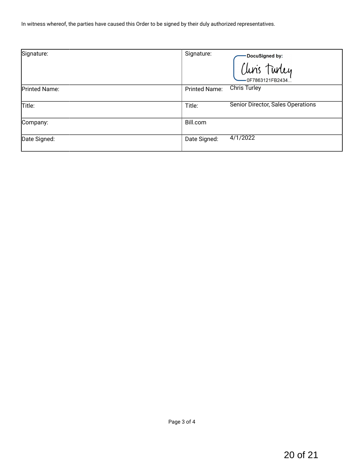In witness whereof, the parties have caused this Order to be signed by their duly authorized representatives.

| Signature:    | Signature:<br>DocuSigned by:<br>Clins Turley<br>-0F7863121FB2434 |
|---------------|------------------------------------------------------------------|
| Printed Name: | <b>Chris Turley</b><br><b>Printed Name:</b>                      |
| Title:        | Senior Director, Sales Operations<br>Title:                      |
| Company:      | Bill.com                                                         |
| Date Signed:  | 4/1/2022<br>Date Signed:                                         |